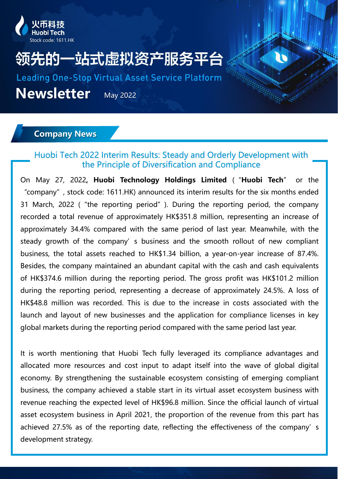

# 先的一站式虚拟资产服务平台

**Leading One-Stop Virtual Asset Service Platform** 

**Newsletter** May 2022

### **Company News**

## Huobi Tech 2022 Interim Results: Steady and Orderly Development with the Principle of Diversification and Compliance

On May 27, 2022**, Huobi Technology Holdings Limited** ("**Huobi Tech**" or the "company", stock code: 1611.HK) announced its interim results for the six months ended 31 March, 2022 ("the reporting period"). During the reporting period, the company recorded a total revenue of approximately HK\$351.8 million, representing an increase of approximately 34.4% compared with the same period of last year. Meanwhile, with the steady growth of the company's business and the smooth rollout of new compliant business, the total assets reached to HK\$1.34 billion, a year-on-year increase of 87.4%. Besides, the company maintained an abundant capital with the cash and cash equivalents of HK\$374.6 million during the reporting period. The gross profit was HK\$101.2 million during the reporting period, representing a decrease of approximately 24.5%. A loss of HK\$48.8 million was recorded. This is due to the increase in costs associated with the launch and layout of new businesses and the application for compliance licenses in key global markets during the reporting period compared with the same period last year.

It is worth mentioning that Huobi Tech fully leveraged its compliance advantages and allocated more resources and cost input to adapt itself into the wave of global digital economy. By strengthening the sustainable ecosystem consisting of emerging compliant business, the company achieved a stable start in its virtual asset ecosystem business with revenue reaching the expected level of HK\$96.8 million. Since the official launch of virtual asset ecosystem business in April 2021, the proportion of the revenue from this part has achieved 27.5% as of the reporting date, reflecting the effectiveness of the company's development strategy.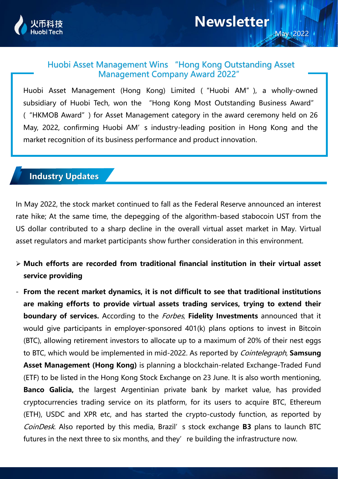

### Huobi Asset Management Wins "Hong Kong Outstanding Asset Management Company Award 2022"

Huobi Asset Management (Hong Kong) Limited ("Huobi AM"), a wholly-owned subsidiary of Huobi Tech, won the "Hong Kong Most Outstanding Business Award" ("HKMOB Award") for Asset Management category in the award ceremony held on 26 May, 2022, confirming Huobi AM's industry-leading position in Hong Kong and the market recognition of its business performance and product innovation.

# **Industry Updates**

In May 2022, the stock market continued to fall as the Federal Reserve announced an interest rate hike; At the same time, the depegging of the algorithm-based stabocoin UST from the US dollar contributed to a sharp decline in the overall virtual asset market in May. Virtual asset regulators and market participants show further consideration in this environment.

- ➢ **Much efforts are recorded from traditional financial institution in their virtual asset service providing**
- **From the recent market dynamics, it is not difficult to see that traditional institutions are making efforts to provide virtual assets trading services, trying to extend their boundary of services.** According to the Forbes, **Fidelity Investments** announced that it would give participants in employer-sponsored 401(k) plans options to invest in Bitcoin (BTC), allowing retirement investors to allocate up to a maximum of 20% of their nest eggs to BTC, which would be implemented in mid-2022. As reported by Cointelegraph, **Samsung Asset Management (Hong Kong)** is planning a blockchain-related Exchange-Traded Fund (ETF) to be listed in the Hong Kong Stock Exchange on 23 June. It is also worth mentioning, **Banco Galicia,** the largest Argentinian private bank by market value, has provided cryptocurrencies trading service on its platform, for its users to acquire BTC, Ethereum (ETH), USDC and XPR etc, and has started the crypto-custody function, as reported by CoinDesk. Also reported by this media, Brazil's stock exchange **B3** plans to launch BTC futures in the next three to six months, and they' re building the infrastructure now.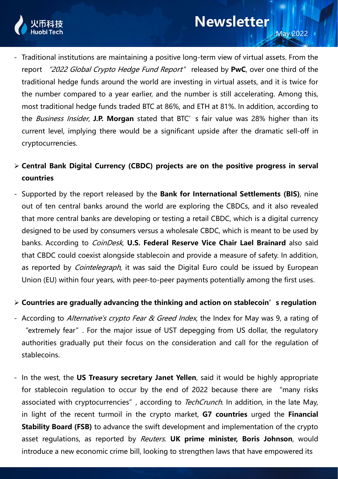

- Traditional institutions are maintaining a positive long-term view of virtual assets. From the report "2022 Global Crypto Hedge Fund Report" released by **PwC**, over one third of the traditional hedge funds around the world are investing in virtual assets, and it is twice for the number compared to a year earlier, and the number is still accelerating. Among this, most traditional hedge funds traded BTC at 86%, and ETH at 81%. In addition, according to the Business Insider, **J.P. Morgan** stated that BTC's fair value was 28% higher than its current level, implying there would be a significant upside after the dramatic sell-off in cryptocurrencies.
- ➢ **Central Bank Digital Currency (CBDC) projects are on the positive progress in serval countries**
- Supported by the report released by the **Bank for International Settlements (BIS)**, nine out of ten central banks around the world are exploring the CBDCs, and it also revealed that more central banks are developing or testing a retail CBDC, which is a digital currency designed to be used by consumers versus a wholesale CBDC, which is meant to be used by banks. According to CoinDesk, **U.S. Federal Reserve Vice Chair Lael Brainard** also said that CBDC could coexist alongside stablecoin and provide a measure of safety. In addition, as reported by *Cointelegraph*, it was said the Digital Euro could be issued by European Union (EU) within four years, with peer-to-peer payments potentially among the first uses.

#### ➢ **Countries are gradually advancing the thinking and action on stablecoin's regulation**

- According to Alternative's crypto Fear & Greed Index, the Index for May was 9, a rating of "extremely fear". For the major issue of UST depegging from US dollar, the regulatory authorities gradually put their focus on the consideration and call for the regulation of stablecoins.
- In the west, the **US Treasury secretary Janet Yellen**, said it would be highly appropriate for stablecoin regulation to occur by the end of 2022 because there are "many risks associated with cryptocurrencies", according to TechCrunch. In addition, in the late May, in light of the recent turmoil in the crypto market, **G7 countries** urged the **Financial Stability Board (FSB)** to advance the swift development and implementation of the crypto asset regulations, as reported by Reuters. **UK prime minister, Boris Johnson**, would introduce a new economic crime bill, looking to strengthen laws that have empowered its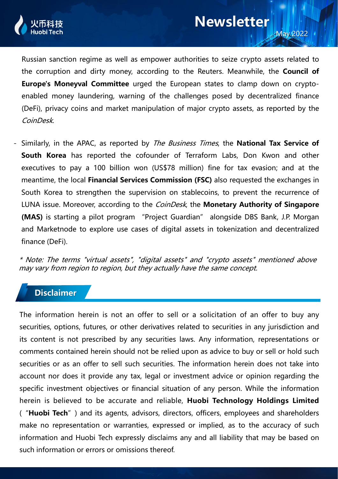

Russian sanction regime as well as empower authorities to seize crypto assets related to the corruption and dirty money, according to the Reuters. Meanwhile, the **Council of Europe's Moneyval Committee** urged the European states to clamp down on cryptoenabled money laundering, warning of the challenges posed by decentralized finance (DeFi), privacy coins and market manipulation of major crypto assets, as reported by the CoinDesk.

- Similarly, in the APAC, as reported by The Business Times, the **National Tax Service of South Korea** has reported the cofounder of Terraform Labs, Don Kwon and other executives to pay a 100 billion won (US\$78 million) fine for tax evasion; and at the meantime, the local **Financial Services Commission (FSC)** also requested the exchanges in South Korea to strengthen the supervision on stablecoins, to prevent the recurrence of LUNA issue. Moreover, according to the CoinDesk, the **Monetary Authority of Singapore (MAS)** is starting a pilot program "Project Guardian" alongside DBS Bank, J.P. Morgan and Marketnode to explore use cases of digital assets in tokenization and decentralized finance (DeFi).

\* Note: The terms "virtual assets", "digital assets" and "crypto assets" mentioned above may vary from region to region, but they actually have the same concept.

## **Disclaimer**

The information herein is not an offer to sell or a solicitation of an offer to buy any securities, options, futures, or other derivatives related to securities in any jurisdiction and its content is not prescribed by any securities laws. Any information, representations or comments contained herein should not be relied upon as advice to buy or sell or hold such securities or as an offer to sell such securities. The information herein does not take into account nor does it provide any tax, legal or investment advice or opinion regarding the specific investment objectives or financial situation of any person. While the information herein is believed to be accurate and reliable, **Huobi Technology Holdings Limited** ("**Huobi Tech**") and its agents, advisors, directors, officers, employees and shareholders make no representation or warranties, expressed or implied, as to the accuracy of such information and Huobi Tech expressly disclaims any and all liability that may be based on such information or errors or omissions thereof.